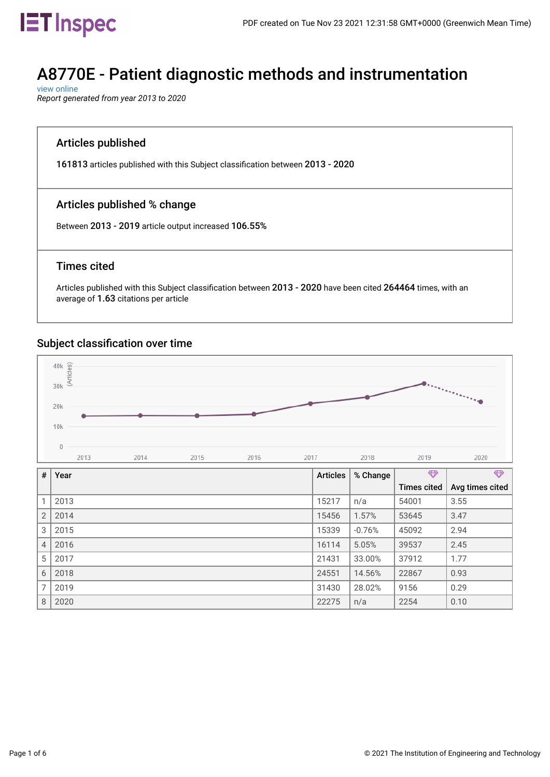

# A8770E - Patient diagnostic methods and instrumentation

 [view online](https://inspec-analytics-app.theiet.org/#/subject_classifications/1810) *Report generated from year 2013 to 2020*

### Articles published

161813 articles published with this Subject classifcation between 2013 - 2020

### Articles published % change

Between 2013 - 2019 article output increased 106.55%

#### Times cited

Articles published with this Subject classifcation between 2013 - 2020 have been cited 264464 times, with an average of 1.63 citations per article

#### Subject classification over time



| #              | Year | <b>Articles</b> | % Change | $\bigoplus$        | $\bigoplus$     |
|----------------|------|-----------------|----------|--------------------|-----------------|
|                |      |                 |          | <b>Times cited</b> | Avg times cited |
|                | 2013 | 15217           | n/a      | 54001              | 3.55            |
| $\overline{2}$ | 2014 | 15456           | 1.57%    | 53645              | 3.47            |
| 3              | 2015 | 15339           | $-0.76%$ | 45092              | 2.94            |
| $\overline{4}$ | 2016 | 16114           | 5.05%    | 39537              | 2.45            |
| 5              | 2017 | 21431           | 33.00%   | 37912              | 1.77            |
| 6              | 2018 | 24551           | 14.56%   | 22867              | 0.93            |
| 7              | 2019 | 31430           | 28.02%   | 9156               | 0.29            |
| 8              | 2020 | 22275           | n/a      | 2254               | 0.10            |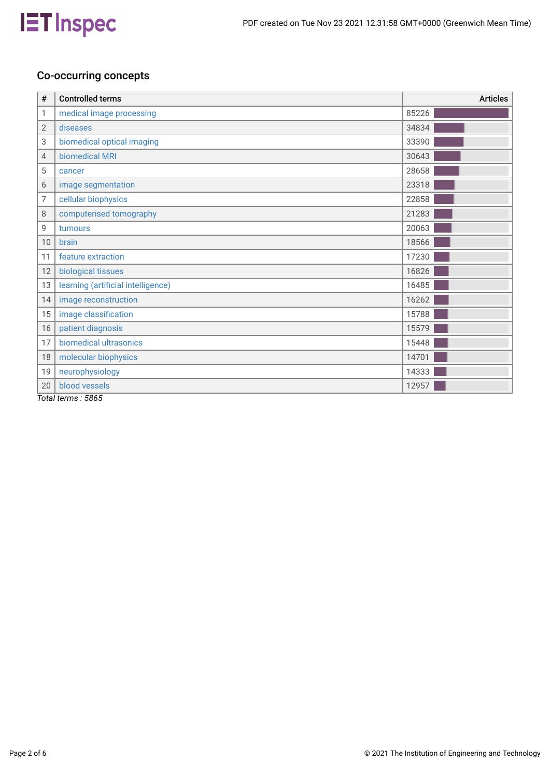

### Co-occurring concepts

| #                  | <b>Controlled terms</b>            | <b>Articles</b> |
|--------------------|------------------------------------|-----------------|
| 1                  | medical image processing           | 85226           |
| 2                  | diseases                           | 34834           |
| 3                  | biomedical optical imaging         | 33390           |
| 4                  | biomedical MRI                     | 30643           |
| 5                  | cancer                             | 28658           |
| 6                  | image segmentation                 | 23318           |
| 7                  | cellular biophysics                | 22858           |
| 8                  | computerised tomography            | 21283           |
| 9                  | tumours                            | 20063           |
| 10                 | brain                              | 18566           |
| 11                 | feature extraction                 | 17230           |
| 12                 | biological tissues                 | 16826           |
| 13                 | learning (artificial intelligence) | 16485           |
| 14                 | image reconstruction               | 16262           |
| 15                 | image classification               | 15788           |
| 16                 | patient diagnosis                  | 15579           |
| 17                 | biomedical ultrasonics             | 15448           |
| 18                 | molecular biophysics               | 14701           |
| 19                 | neurophysiology                    | 14333           |
| 20<br><del>.</del> | blood vessels<br>$F^{\alpha}$      | 12957           |

*Total terms : 5865*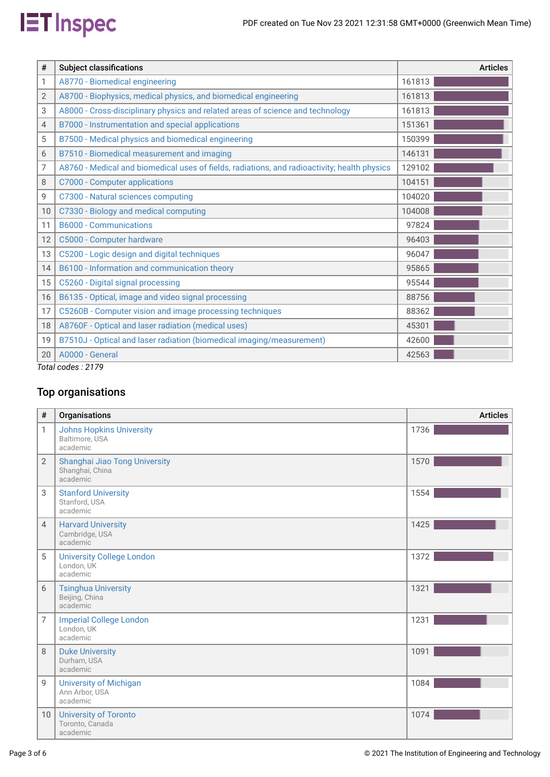

| #  | <b>Subject classifications</b>                                                               | <b>Articles</b> |
|----|----------------------------------------------------------------------------------------------|-----------------|
| 1  | A8770 - Biomedical engineering                                                               | 161813          |
| 2  | A8700 - Biophysics, medical physics, and biomedical engineering                              | 161813          |
| 3  | A8000 - Cross-disciplinary physics and related areas of science and technology               | 161813          |
| 4  | B7000 - Instrumentation and special applications                                             | 151361          |
| 5  | B7500 - Medical physics and biomedical engineering                                           | 150399          |
| 6  | B7510 - Biomedical measurement and imaging                                                   | 146131          |
| 7  | A8760 - Medical and biomedical uses of fields, radiations, and radioactivity; health physics | 129102          |
| 8  | C7000 - Computer applications                                                                | 104151          |
| 9  | C7300 - Natural sciences computing                                                           | 104020          |
| 10 | C7330 - Biology and medical computing                                                        | 104008          |
| 11 | <b>B6000 - Communications</b>                                                                | 97824           |
| 12 | C5000 - Computer hardware                                                                    | 96403           |
| 13 | C5200 - Logic design and digital techniques                                                  | 96047           |
| 14 | B6100 - Information and communication theory                                                 | 95865           |
| 15 | C5260 - Digital signal processing                                                            | 95544           |
| 16 | B6135 - Optical, image and video signal processing                                           | 88756           |
| 17 | C5260B - Computer vision and image processing techniques                                     | 88362           |
| 18 | A8760F - Optical and laser radiation (medical uses)                                          | 45301           |
| 19 | B7510J - Optical and laser radiation (biomedical imaging/measurement)                        | 42600           |
| 20 | A0000 - General                                                                              | 42563           |
|    | $T_{\alpha}$ tal aadaa : 0170                                                                |                 |

*Total codes : 2179*

## Top organisations

| #              | Organisations                                                 | <b>Articles</b> |
|----------------|---------------------------------------------------------------|-----------------|
| 1              | <b>Johns Hopkins University</b><br>Baltimore, USA<br>academic | 1736            |
| $\overline{2}$ | Shanghai Jiao Tong University<br>Shanghai, China<br>academic  | 1570            |
| 3              | <b>Stanford University</b><br>Stanford, USA<br>academic       | 1554            |
| $\overline{4}$ | <b>Harvard University</b><br>Cambridge, USA<br>academic       | 1425            |
| 5              | <b>University College London</b><br>London, UK<br>academic    | 1372            |
| 6              | <b>Tsinghua University</b><br>Beijing, China<br>academic      | 1321            |
| 7              | <b>Imperial College London</b><br>London, UK<br>academic      | 1231            |
| 8              | <b>Duke University</b><br>Durham, USA<br>academic             | 1091            |
| 9              | <b>University of Michigan</b><br>Ann Arbor, USA<br>academic   | 1084            |
| 10             | <b>University of Toronto</b><br>Toronto, Canada<br>academic   | 1074            |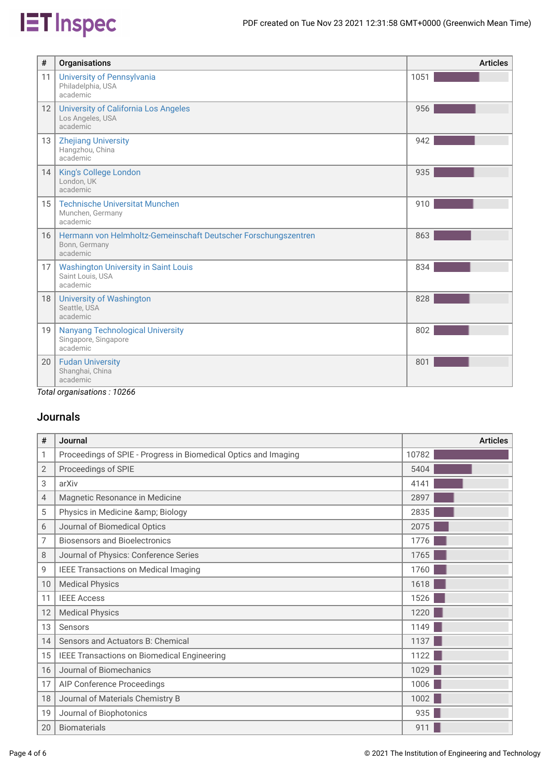# **IET** Inspec

| #               | Organisations                                                                               | <b>Articles</b> |
|-----------------|---------------------------------------------------------------------------------------------|-----------------|
| 11              | <b>University of Pennsylvania</b><br>Philadelphia, USA<br>academic                          | 1051            |
| 12              | <b>University of California Los Angeles</b><br>Los Angeles, USA<br>academic                 | 956             |
| 13              | <b>Zhejiang University</b><br>Hangzhou, China<br>academic                                   | 942             |
| 14              | King's College London<br>London, UK<br>academic                                             | 935             |
| 15 <sup>1</sup> | <b>Technische Universitat Munchen</b><br>Munchen, Germany<br>academic                       | 910             |
| 16              | Hermann von Helmholtz-Gemeinschaft Deutscher Forschungszentren<br>Bonn, Germany<br>academic | 863             |
| 17 <sup>1</sup> | <b>Washington University in Saint Louis</b><br>Saint Louis, USA<br>academic                 | 834             |
| 18              | <b>University of Washington</b><br>Seattle, USA<br>academic                                 | 828             |
| 19              | <b>Nanyang Technological University</b><br>Singapore, Singapore<br>academic                 | 802             |
| 20              | <b>Fudan University</b><br>Shanghai, China<br>academic                                      | 801             |
|                 | Total expansion: 10966                                                                      |                 |

*Total organisations : 10266*

### Journals

| #  | Journal                                                         | <b>Articles</b> |
|----|-----------------------------------------------------------------|-----------------|
| 1  | Proceedings of SPIE - Progress in Biomedical Optics and Imaging | 10782           |
| 2  | Proceedings of SPIE                                             | 5404            |
| 3  | arXiv                                                           | 4141            |
| 4  | Magnetic Resonance in Medicine                                  | 2897            |
| 5  | Physics in Medicine & Biology                                   | 2835            |
| 6  | Journal of Biomedical Optics                                    | 2075            |
| 7  | <b>Biosensors and Bioelectronics</b>                            | 1776            |
| 8  | Journal of Physics: Conference Series                           | 1765            |
| 9  | <b>IEEE Transactions on Medical Imaging</b>                     | 1760            |
| 10 | <b>Medical Physics</b>                                          | 1618            |
| 11 | <b>IEEE Access</b>                                              | 1526            |
| 12 | <b>Medical Physics</b>                                          | 1220            |
| 13 | Sensors                                                         | 1149            |
| 14 | Sensors and Actuators B: Chemical                               | 1137            |
| 15 | IEEE Transactions on Biomedical Engineering                     | 1122            |
| 16 | Journal of Biomechanics                                         | 1029            |
| 17 | AIP Conference Proceedings                                      | 1006            |
| 18 | Journal of Materials Chemistry B                                | 1002            |
| 19 | Journal of Biophotonics                                         | 935             |
| 20 | <b>Biomaterials</b>                                             | 911             |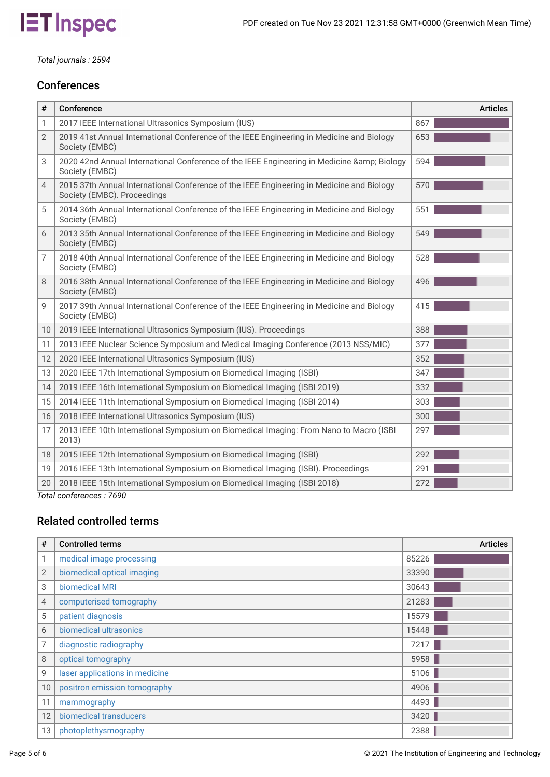

*Total journals : 2594*

### **Conferences**

| #              | Conference                                                                                                               | <b>Articles</b> |
|----------------|--------------------------------------------------------------------------------------------------------------------------|-----------------|
| 1              | 2017 IEEE International Ultrasonics Symposium (IUS)                                                                      | 867             |
| $\overline{2}$ | 2019 41st Annual International Conference of the IEEE Engineering in Medicine and Biology<br>Society (EMBC)              | 653             |
| 3              | 2020 42nd Annual International Conference of the IEEE Engineering in Medicine & Biology<br>Society (EMBC)                | 594             |
| 4              | 2015 37th Annual International Conference of the IEEE Engineering in Medicine and Biology<br>Society (EMBC). Proceedings | 570             |
| 5              | 2014 36th Annual International Conference of the IEEE Engineering in Medicine and Biology<br>Society (EMBC)              | 551             |
| 6              | 2013 35th Annual International Conference of the IEEE Engineering in Medicine and Biology<br>Society (EMBC)              | 549             |
| 7              | 2018 40th Annual International Conference of the IEEE Engineering in Medicine and Biology<br>Society (EMBC)              | 528             |
| 8              | 2016 38th Annual International Conference of the IEEE Engineering in Medicine and Biology<br>Society (EMBC)              | 496             |
| 9              | 2017 39th Annual International Conference of the IEEE Engineering in Medicine and Biology<br>Society (EMBC)              | 415             |
| 10             | 2019 IEEE International Ultrasonics Symposium (IUS). Proceedings                                                         | 388             |
| 11             | 2013 IEEE Nuclear Science Symposium and Medical Imaging Conference (2013 NSS/MIC)                                        | 377             |
| 12             | 2020 IEEE International Ultrasonics Symposium (IUS)                                                                      | 352             |
| 13             | 2020 IEEE 17th International Symposium on Biomedical Imaging (ISBI)                                                      | 347             |
| 14             | 2019 IEEE 16th International Symposium on Biomedical Imaging (ISBI 2019)                                                 | 332             |
| 15             | 2014 IEEE 11th International Symposium on Biomedical Imaging (ISBI 2014)                                                 | 303             |
| 16             | 2018 IEEE International Ultrasonics Symposium (IUS)                                                                      | 300             |
| 17             | 2013 IEEE 10th International Symposium on Biomedical Imaging: From Nano to Macro (ISBI<br>2013)                          | 297             |
| 18             | 2015 IEEE 12th International Symposium on Biomedical Imaging (ISBI)                                                      | 292             |
| 19             | 2016 IEEE 13th International Symposium on Biomedical Imaging (ISBI). Proceedings                                         | 291             |
| 20             | 2018 IEEE 15th International Symposium on Biomedical Imaging (ISBI 2018)                                                 | 272             |
| $T - 1$        | $\ldots$ f $\ldots$<br>$-1700$                                                                                           |                 |

*Total conferences : 7690*

### Related controlled terms

| #               | <b>Controlled terms</b>        | <b>Articles</b> |
|-----------------|--------------------------------|-----------------|
| 1               | medical image processing       | 85226           |
| $\overline{2}$  | biomedical optical imaging     | 33390           |
| 3               | biomedical MRI                 | 30643           |
| 4               | computerised tomography        | 21283           |
| 5               | patient diagnosis              | 15579           |
| 6               | biomedical ultrasonics         | 15448           |
| 7               | diagnostic radiography         | 7217            |
| 8               | optical tomography             | 5958            |
| 9               | laser applications in medicine | 5106            |
| 10 <sup>°</sup> | positron emission tomography   | 4906            |
| 11              | mammography                    | 4493            |
| 12              | biomedical transducers         | 3420            |
| 13              | photoplethysmography           | 2388            |